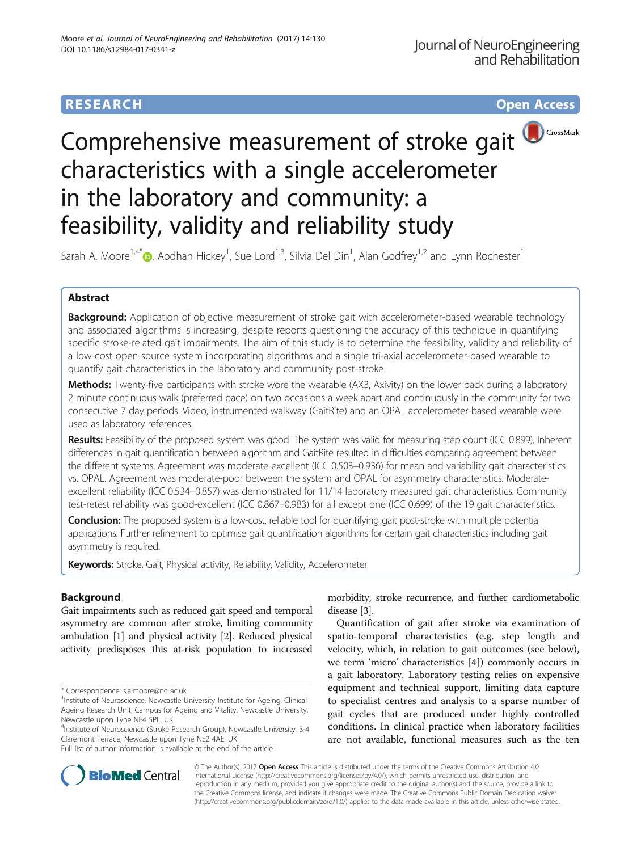# **RESEARCH CHE Open Access**



Sarah A. Moore $^{1,4^*}$   $\rm{O}$ , Aodhan Hickey $^1$ , Sue Lord $^{1,3}$ , Silvia Del Din $^1$ , Alan Godfrey $^{1,2}$  and Lynn Rochester $^1$ 

## Abstract

Background: Application of objective measurement of stroke gait with accelerometer-based wearable technology and associated algorithms is increasing, despite reports questioning the accuracy of this technique in quantifying specific stroke-related gait impairments. The aim of this study is to determine the feasibility, validity and reliability of a low-cost open-source system incorporating algorithms and a single tri-axial accelerometer-based wearable to quantify gait characteristics in the laboratory and community post-stroke.

**Methods:** Twenty-five participants with stroke wore the wearable (AX3, Axivity) on the lower back during a laboratory 2 minute continuous walk (preferred pace) on two occasions a week apart and continuously in the community for two consecutive 7 day periods. Video, instrumented walkway (GaitRite) and an OPAL accelerometer-based wearable were used as laboratory references.

Results: Feasibility of the proposed system was good. The system was valid for measuring step count (ICC 0.899). Inherent differences in gait quantification between algorithm and GaitRite resulted in difficulties comparing agreement between the different systems. Agreement was moderate-excellent (ICC 0.503–0.936) for mean and variability gait characteristics vs. OPAL. Agreement was moderate-poor between the system and OPAL for asymmetry characteristics. Moderateexcellent reliability (ICC 0.534–0.857) was demonstrated for 11/14 laboratory measured gait characteristics. Community test-retest reliability was good-excellent (ICC 0.867–0.983) for all except one (ICC 0.699) of the 19 gait characteristics.

**Conclusion:** The proposed system is a low-cost, reliable tool for quantifying gait post-stroke with multiple potential applications. Further refinement to optimise gait quantification algorithms for certain gait characteristics including gait asymmetry is required.

Keywords: Stroke, Gait, Physical activity, Reliability, Validity, Accelerometer

## Background

Gait impairments such as reduced gait speed and temporal asymmetry are common after stroke, limiting community ambulation [\[1\]](#page-8-0) and physical activity [\[2\]](#page-8-0). Reduced physical activity predisposes this at-risk population to increased

Full list of author information is available at the end of the article

morbidity, stroke recurrence, and further cardiometabolic disease [[3](#page-8-0)].

Quantification of gait after stroke via examination of spatio-temporal characteristics (e.g. step length and velocity, which, in relation to gait outcomes (see below), we term 'micro' characteristics [\[4](#page-8-0)]) commonly occurs in a gait laboratory. Laboratory testing relies on expensive equipment and technical support, limiting data capture to specialist centres and analysis to a sparse number of gait cycles that are produced under highly controlled conditions. In clinical practice when laboratory facilities are not available, functional measures such as the ten



© The Author(s). 2017 **Open Access** This article is distributed under the terms of the Creative Commons Attribution 4.0 International License [\(http://creativecommons.org/licenses/by/4.0/](http://creativecommons.org/licenses/by/4.0/)), which permits unrestricted use, distribution, and reproduction in any medium, provided you give appropriate credit to the original author(s) and the source, provide a link to the Creative Commons license, and indicate if changes were made. The Creative Commons Public Domain Dedication waiver [\(http://creativecommons.org/publicdomain/zero/1.0/](http://creativecommons.org/publicdomain/zero/1.0/)) applies to the data made available in this article, unless otherwise stated.

<sup>\*</sup> Correspondence: [s.a.moore@ncl.ac.uk](mailto:s.a.moore@ncl.ac.uk) <sup>1</sup>

<sup>&</sup>lt;sup>1</sup>Institute of Neuroscience, Newcastle University Institute for Ageing, Clinical Ageing Research Unit, Campus for Ageing and Vitality, Newcastle University, Newcastle upon Tyne NE4 5PL, UK

<sup>4</sup> Institute of Neuroscience (Stroke Research Group), Newcastle University, 3-4 Claremont Terrace, Newcastle upon Tyne NE2 4AE, UK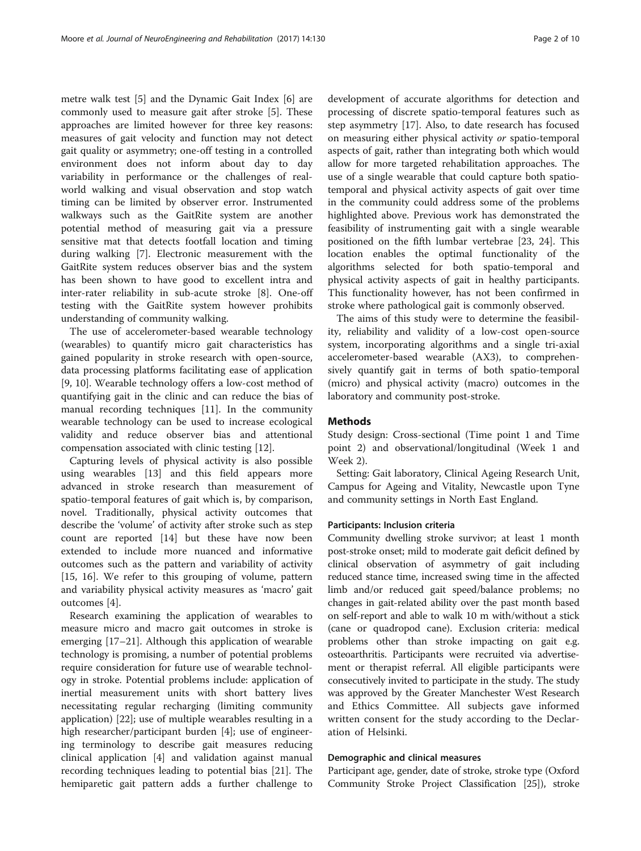metre walk test [\[5\]](#page-8-0) and the Dynamic Gait Index [\[6](#page-8-0)] are commonly used to measure gait after stroke [[5\]](#page-8-0). These approaches are limited however for three key reasons: measures of gait velocity and function may not detect gait quality or asymmetry; one-off testing in a controlled environment does not inform about day to day variability in performance or the challenges of realworld walking and visual observation and stop watch timing can be limited by observer error. Instrumented walkways such as the GaitRite system are another potential method of measuring gait via a pressure sensitive mat that detects footfall location and timing during walking [[7\]](#page-8-0). Electronic measurement with the GaitRite system reduces observer bias and the system has been shown to have good to excellent intra and inter-rater reliability in sub-acute stroke [\[8](#page-8-0)]. One-off testing with the GaitRite system however prohibits understanding of community walking.

The use of accelerometer-based wearable technology (wearables) to quantify micro gait characteristics has gained popularity in stroke research with open-source, data processing platforms facilitating ease of application [[9, 10\]](#page-8-0). Wearable technology offers a low-cost method of quantifying gait in the clinic and can reduce the bias of manual recording techniques [\[11](#page-8-0)]. In the community wearable technology can be used to increase ecological validity and reduce observer bias and attentional compensation associated with clinic testing [\[12\]](#page-8-0).

Capturing levels of physical activity is also possible using wearables [\[13](#page-8-0)] and this field appears more advanced in stroke research than measurement of spatio-temporal features of gait which is, by comparison, novel. Traditionally, physical activity outcomes that describe the 'volume' of activity after stroke such as step count are reported [\[14\]](#page-8-0) but these have now been extended to include more nuanced and informative outcomes such as the pattern and variability of activity [[15, 16](#page-8-0)]. We refer to this grouping of volume, pattern and variability physical activity measures as 'macro' gait outcomes [\[4](#page-8-0)].

Research examining the application of wearables to measure micro and macro gait outcomes in stroke is emerging [\[17](#page-8-0)–[21\]](#page-8-0). Although this application of wearable technology is promising, a number of potential problems require consideration for future use of wearable technology in stroke. Potential problems include: application of inertial measurement units with short battery lives necessitating regular recharging (limiting community application) [\[22\]](#page-8-0); use of multiple wearables resulting in a high researcher/participant burden [[4\]](#page-8-0); use of engineering terminology to describe gait measures reducing clinical application [\[4](#page-8-0)] and validation against manual recording techniques leading to potential bias [\[21](#page-8-0)]. The hemiparetic gait pattern adds a further challenge to

development of accurate algorithms for detection and processing of discrete spatio-temporal features such as step asymmetry [[17](#page-8-0)]. Also, to date research has focused on measuring either physical activity or spatio-temporal aspects of gait, rather than integrating both which would allow for more targeted rehabilitation approaches. The use of a single wearable that could capture both spatiotemporal and physical activity aspects of gait over time in the community could address some of the problems highlighted above. Previous work has demonstrated the feasibility of instrumenting gait with a single wearable positioned on the fifth lumbar vertebrae [\[23](#page-8-0), [24\]](#page-8-0). This location enables the optimal functionality of the algorithms selected for both spatio-temporal and physical activity aspects of gait in healthy participants. This functionality however, has not been confirmed in stroke where pathological gait is commonly observed.

The aims of this study were to determine the feasibility, reliability and validity of a low-cost open-source system, incorporating algorithms and a single tri-axial accelerometer-based wearable (AX3), to comprehensively quantify gait in terms of both spatio-temporal (micro) and physical activity (macro) outcomes in the laboratory and community post-stroke.

## Methods

Study design: Cross-sectional (Time point 1 and Time point 2) and observational/longitudinal (Week 1 and Week 2).

Setting: Gait laboratory, Clinical Ageing Research Unit, Campus for Ageing and Vitality, Newcastle upon Tyne and community settings in North East England.

#### Participants: Inclusion criteria

Community dwelling stroke survivor; at least 1 month post-stroke onset; mild to moderate gait deficit defined by clinical observation of asymmetry of gait including reduced stance time, increased swing time in the affected limb and/or reduced gait speed/balance problems; no changes in gait-related ability over the past month based on self-report and able to walk 10 m with/without a stick (cane or quadropod cane). Exclusion criteria: medical problems other than stroke impacting on gait e.g. osteoarthritis. Participants were recruited via advertisement or therapist referral. All eligible participants were consecutively invited to participate in the study. The study was approved by the Greater Manchester West Research and Ethics Committee. All subjects gave informed written consent for the study according to the Declaration of Helsinki.

#### Demographic and clinical measures

Participant age, gender, date of stroke, stroke type (Oxford Community Stroke Project Classification [\[25](#page-8-0)]), stroke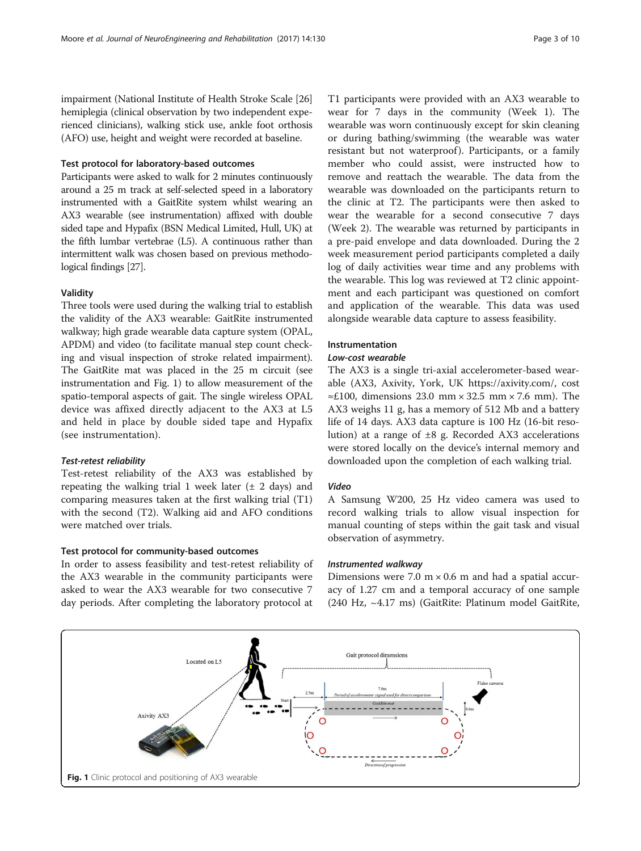impairment (National Institute of Health Stroke Scale [[26](#page-8-0)] hemiplegia (clinical observation by two independent experienced clinicians), walking stick use, ankle foot orthosis (AFO) use, height and weight were recorded at baseline.

#### Test protocol for laboratory-based outcomes

Participants were asked to walk for 2 minutes continuously around a 25 m track at self-selected speed in a laboratory instrumented with a GaitRite system whilst wearing an AX3 wearable (see instrumentation) affixed with double sided tape and Hypafix (BSN Medical Limited, Hull, UK) at the fifth lumbar vertebrae (L5). A continuous rather than intermittent walk was chosen based on previous methodological findings [\[27](#page-8-0)].

## Validity

Three tools were used during the walking trial to establish the validity of the AX3 wearable: GaitRite instrumented walkway; high grade wearable data capture system (OPAL, APDM) and video (to facilitate manual step count checking and visual inspection of stroke related impairment). The GaitRite mat was placed in the 25 m circuit (see instrumentation and Fig. 1) to allow measurement of the spatio-temporal aspects of gait. The single wireless OPAL device was affixed directly adjacent to the AX3 at L5 and held in place by double sided tape and Hypafix (see instrumentation).

#### Test-retest reliability

Test-retest reliability of the AX3 was established by repeating the walking trial 1 week later  $(\pm 2 \text{ days})$  and comparing measures taken at the first walking trial (T1) with the second (T2). Walking aid and AFO conditions were matched over trials.

## Test protocol for community-based outcomes

In order to assess feasibility and test-retest reliability of the AX3 wearable in the community participants were asked to wear the AX3 wearable for two consecutive 7 day periods. After completing the laboratory protocol at

T1 participants were provided with an AX3 wearable to wear for 7 days in the community (Week 1). The wearable was worn continuously except for skin cleaning or during bathing/swimming (the wearable was water resistant but not waterproof). Participants, or a family member who could assist, were instructed how to remove and reattach the wearable. The data from the wearable was downloaded on the participants return to the clinic at T2. The participants were then asked to wear the wearable for a second consecutive 7 days (Week 2). The wearable was returned by participants in a pre-paid envelope and data downloaded. During the 2 week measurement period participants completed a daily log of daily activities wear time and any problems with the wearable. This log was reviewed at T2 clinic appointment and each participant was questioned on comfort and application of the wearable. This data was used alongside wearable data capture to assess feasibility.

## Instrumentation

## Low-cost wearable

The AX3 is a single tri-axial accelerometer-based wearable (AX3, Axivity, York, UK<https://axivity.com/>, cost  $\approx$ £100, dimensions 23.0 mm × 32.5 mm × 7.6 mm). The AX3 weighs 11 g, has a memory of 512 Mb and a battery life of 14 days. AX3 data capture is 100 Hz (16-bit resolution) at a range of ±8 g. Recorded AX3 accelerations were stored locally on the device's internal memory and downloaded upon the completion of each walking trial.

## Video

A Samsung W200, 25 Hz video camera was used to record walking trials to allow visual inspection for manual counting of steps within the gait task and visual observation of asymmetry.

#### Instrumented walkway

Dimensions were 7.0  $m \times 0.6$  m and had a spatial accuracy of 1.27 cm and a temporal accuracy of one sample (240 Hz, ~4.17 ms) (GaitRite: Platinum model GaitRite,

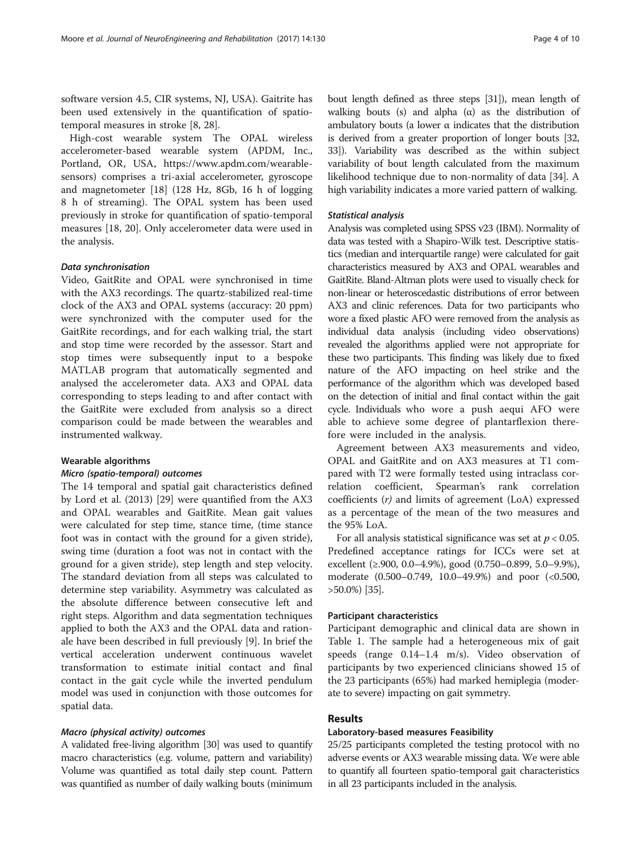software version 4.5, CIR systems, NJ, USA). Gaitrite has been used extensively in the quantification of spatiotemporal measures in stroke [\[8](#page-8-0), [28](#page-8-0)].

High-cost wearable system The OPAL wireless accelerometer-based wearable system (APDM, Inc., Portland, OR, USA, [https://www.apdm.com/wearable](https://www.apdm.com/wearable-sensors)[sensors\)](https://www.apdm.com/wearable-sensors) comprises a tri-axial accelerometer, gyroscope and magnetometer [[18\]](#page-8-0) (128 Hz, 8Gb, 16 h of logging 8 h of streaming). The OPAL system has been used previously in stroke for quantification of spatio-temporal measures [\[18, 20\]](#page-8-0). Only accelerometer data were used in the analysis.

### Data synchronisation

Video, GaitRite and OPAL were synchronised in time with the AX3 recordings. The quartz-stabilized real-time clock of the AX3 and OPAL systems (accuracy: 20 ppm) were synchronized with the computer used for the GaitRite recordings, and for each walking trial, the start and stop time were recorded by the assessor. Start and stop times were subsequently input to a bespoke MATLAB program that automatically segmented and analysed the accelerometer data. AX3 and OPAL data corresponding to steps leading to and after contact with the GaitRite were excluded from analysis so a direct comparison could be made between the wearables and instrumented walkway.

#### Wearable algorithms

#### Micro (spatio-temporal) outcomes

The 14 temporal and spatial gait characteristics defined by Lord et al. (2013) [[29](#page-8-0)] were quantified from the AX3 and OPAL wearables and GaitRite. Mean gait values were calculated for step time, stance time, (time stance foot was in contact with the ground for a given stride), swing time (duration a foot was not in contact with the ground for a given stride), step length and step velocity. The standard deviation from all steps was calculated to determine step variability. Asymmetry was calculated as the absolute difference between consecutive left and right steps. Algorithm and data segmentation techniques applied to both the AX3 and the OPAL data and rationale have been described in full previously [\[9](#page-8-0)]. In brief the vertical acceleration underwent continuous wavelet transformation to estimate initial contact and final contact in the gait cycle while the inverted pendulum model was used in conjunction with those outcomes for spatial data.

## Macro (physical activity) outcomes

A validated free-living algorithm [[30](#page-8-0)] was used to quantify macro characteristics (e.g. volume, pattern and variability) Volume was quantified as total daily step count. Pattern was quantified as number of daily walking bouts (minimum

bout length defined as three steps [[31\]](#page-9-0)), mean length of walking bouts (s) and alpha  $(\alpha)$  as the distribution of ambulatory bouts (a lower  $\alpha$  indicates that the distribution is derived from a greater proportion of longer bouts [\[32](#page-9-0), [33](#page-9-0)]). Variability was described as the within subject variability of bout length calculated from the maximum likelihood technique due to non-normality of data [[34](#page-9-0)]. A high variability indicates a more varied pattern of walking.

## Statistical analysis

Analysis was completed using SPSS v23 (IBM). Normality of data was tested with a Shapiro-Wilk test. Descriptive statistics (median and interquartile range) were calculated for gait characteristics measured by AX3 and OPAL wearables and GaitRite. Bland-Altman plots were used to visually check for non-linear or heteroscedastic distributions of error between AX3 and clinic references. Data for two participants who wore a fixed plastic AFO were removed from the analysis as individual data analysis (including video observations) revealed the algorithms applied were not appropriate for these two participants. This finding was likely due to fixed nature of the AFO impacting on heel strike and the performance of the algorithm which was developed based on the detection of initial and final contact within the gait cycle. Individuals who wore a push aequi AFO were able to achieve some degree of plantarflexion therefore were included in the analysis.

Agreement between AX3 measurements and video, OPAL and GaitRite and on AX3 measures at T1 compared with T2 were formally tested using intraclass correlation coefficient, Spearman's rank correlation coefficients (r) and limits of agreement (LoA) expressed as a percentage of the mean of the two measures and the 95% LoA.

For all analysis statistical significance was set at  $p < 0.05$ . Predefined acceptance ratings for ICCs were set at excellent (≥.900, 0.0–4.9%), good (0.750–0.899, 5.0–9.9%), moderate (0.500–0.749, 10.0–49.9%) and poor (<0.500, >50.0%) [\[35\]](#page-9-0).

#### Participant characteristics

Participant demographic and clinical data are shown in Table [1.](#page-4-0) The sample had a heterogeneous mix of gait speeds (range 0.14–1.4 m/s). Video observation of participants by two experienced clinicians showed 15 of the 23 participants (65%) had marked hemiplegia (moderate to severe) impacting on gait symmetry.

#### Results

## Laboratory-based measures Feasibility

25/25 participants completed the testing protocol with no adverse events or AX3 wearable missing data. We were able to quantify all fourteen spatio-temporal gait characteristics in all 23 participants included in the analysis.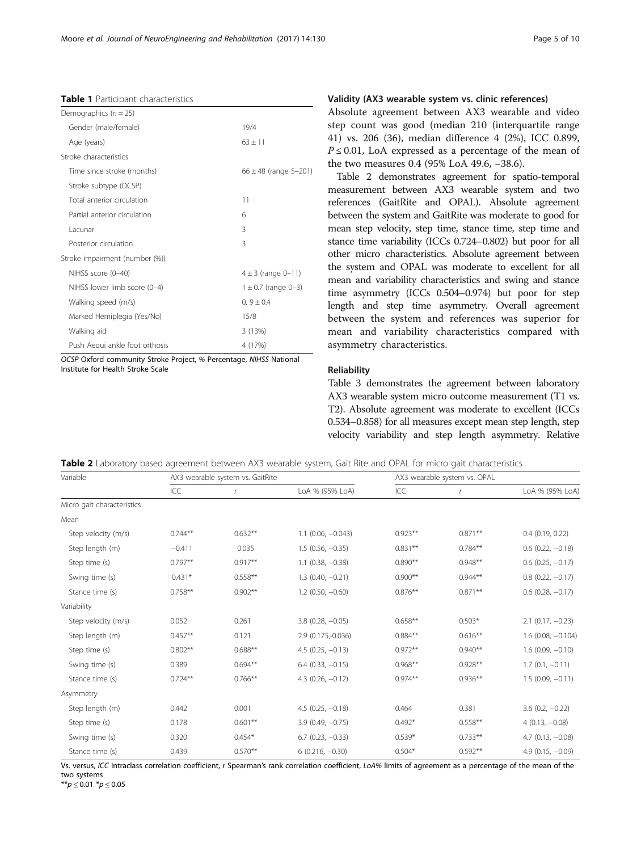## <span id="page-4-0"></span>Table 1 Participant characteristics

| Demographics $(n = 25)$        |                           |
|--------------------------------|---------------------------|
| Gender (male/female)           | 19/4                      |
| Age (years)                    | $63 \pm 11$               |
| Stroke characteristics         |                           |
| Time since stroke (months)     | $66 \pm 48$ (range 5-201) |
| Stroke subtype (OCSP)          |                           |
| Total anterior circulation     | 11                        |
| Partial anterior circulation   | 6                         |
| Lacunar                        | 3                         |
| Posterior circulation          | 3                         |
| Stroke impairment (number (%)) |                           |
| NIHSS score (0-40)             | $4 \pm 3$ (range 0-11)    |
| NIHSS lower limb score (0-4)   | $1 \pm 0.7$ (range 0-3)   |
| Walking speed (m/s)            | $0.9 + 0.4$               |
| Marked Hemiplegia (Yes/No)     | 15/8                      |
| Walking aid                    | 3 (13%)                   |
| Push Aequi ankle foot orthosis | 4 (17%)                   |

OCSP Oxford community Stroke Project, % Percentage, NIHSS National Institute for Health Stroke Scale

## Validity (AX3 wearable system vs. clinic references)

Absolute agreement between AX3 wearable and video step count was good (median 210 (interquartile range 41) vs. 206 (36), median difference 4 (2%), ICC 0.899,  $P \le 0.01$ , LoA expressed as a percentage of the mean of the two measures 0.4 (95% LoA 49.6, −38.6).

Table 2 demonstrates agreement for spatio-temporal measurement between AX3 wearable system and two references (GaitRite and OPAL). Absolute agreement between the system and GaitRite was moderate to good for mean step velocity, step time, stance time, step time and stance time variability (ICCs 0.724–0.802) but poor for all other micro characteristics. Absolute agreement between the system and OPAL was moderate to excellent for all mean and variability characteristics and swing and stance time asymmetry (ICCs 0.504–0.974) but poor for step length and step time asymmetry. Overall agreement between the system and references was superior for mean and variability characteristics compared with asymmetry characteristics.

#### Reliability

Table [3](#page-5-0) demonstrates the agreement between laboratory AX3 wearable system micro outcome measurement (T1 vs. T2). Absolute agreement was moderate to excellent (ICCs 0.534–0.858) for all measures except mean step length, step velocity variability and step length asymmetry. Relative

| Table 2 Laboratory based agreement between AX3 wearable system, Gait Rite and OPAL for micro gait characteristics |  |  |
|-------------------------------------------------------------------------------------------------------------------|--|--|
|-------------------------------------------------------------------------------------------------------------------|--|--|

| Variable                   |            | AX3 wearable system vs. GaitRite |                         | AX3 wearable system vs. OPAL |            |                         |  |
|----------------------------|------------|----------------------------------|-------------------------|------------------------------|------------|-------------------------|--|
|                            | ICC        |                                  | LoA % (95% LoA)         | ICC                          | r          | LoA % (95% LoA)         |  |
| Micro gait characteristics |            |                                  |                         |                              |            |                         |  |
| Mean                       |            |                                  |                         |                              |            |                         |  |
| Step velocity (m/s)        | $0.744**$  | $0.632**$                        | $1.1$ (0.06, $-0.043$ ) | $0.923**$                    | $0.871***$ | $0.4$ (0.19, 0.22)      |  |
| Step length (m)            | $-0.411$   | 0.035                            | $1.5(0.56, -0.35)$      | $0.831***$                   | $0.784**$  | $0.6$ (0.22, $-0.18$ )  |  |
| Step time (s)              | $0.797**$  | $0.917**$                        | $1.1$ (0.38, $-0.38$ )  | $0.890**$                    | $0.948**$  | $0.6$ (0.25, $-0.17$ )  |  |
| Swing time (s)             | $0.431*$   | $0.558**$                        | $1.3(0.40,-0.21)$       | $0.900**$                    | $0.944**$  | $0.8$ (0.22, $-0.17$ )  |  |
| Stance time (s)            | $0.758***$ | $0.902**$                        | $1.2$ (0.50, $-0.60$ )  | $0.876***$                   | $0.871**$  | $0.6$ (0.28, $-0.17$ )  |  |
| Variability                |            |                                  |                         |                              |            |                         |  |
| Step velocity (m/s)        | 0.052      | 0.261                            | $3.8(0.28, -0.05)$      | $0.658**$                    | $0.503*$   | $2.1$ (0.17, $-0.23$ )  |  |
| Step length (m)            | $0.457**$  | 0.121                            | 2.9 (0.175, -0.036)     | $0.884**$                    | $0.616***$ | $1.6$ (0.08, $-0.104$ ) |  |
| Step time (s)              | $0.802**$  | $0.688**$                        | $4.5(0.25, -0.13)$      | $0.972**$                    | $0.940**$  | $1.6(0.09, -0.10)$      |  |
| Swing time (s)             | 0.389      | $0.694**$                        | $6.4$ (0.33, $-0.15$ )  | $0.968**$                    | $0.928**$  | $1.7(0.1, -0.11)$       |  |
| Stance time (s)            | $0.724***$ | $0.766**$                        | $4.3$ (0.26, $-0.12$ )  | $0.974**$                    | $0.936***$ | $1.5(0.09, -0.11)$      |  |
| Asymmetry                  |            |                                  |                         |                              |            |                         |  |
| Step length (m)            | 0.442      | 0.001                            | $4.5$ (0.25, $-0.18$ )  | 0.464                        | 0.381      | $3.6(0.2, -0.22)$       |  |
| Step time (s)              | 0.178      | $0.601***$                       | $3.9(0.49, -0.75)$      | $0.492*$                     | $0.558**$  | $4(0.13, -0.08)$        |  |
| Swing time (s)             | 0.320      | $0.454*$                         | $6.7$ (0.23, $-0.33$ )  | $0.539*$                     | $0.733**$  | $4.7(0.13, -0.08)$      |  |
| Stance time (s)            | 0.439      | $0.570**$                        | $6(0.216, -0.30)$       | $0.504*$                     | $0.592**$  | $4.9(0.15, -0.09)$      |  |

Vs. versus, ICC Intraclass correlation coefficient, r Spearman's rank correlation coefficient, LoA% limits of agreement as a percentage of the mean of the two systems

 $*p \leq 0.01$   $*p \leq 0.05$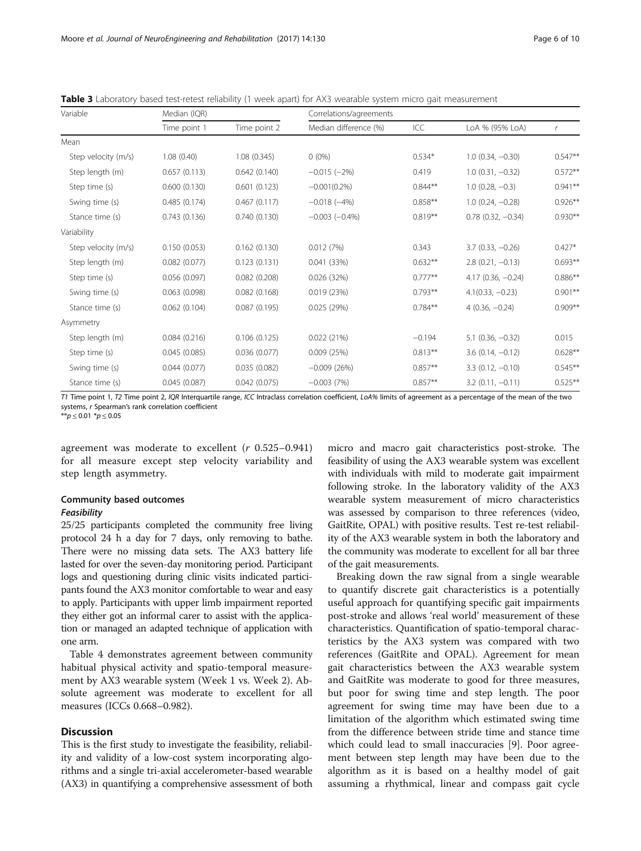| Variable            | Median (IQR) |              | Correlations/agreements |            |                        |              |
|---------------------|--------------|--------------|-------------------------|------------|------------------------|--------------|
|                     | Time point 1 | Time point 2 | Median difference (%)   | ICC        | LoA % (95% LoA)        | $\mathsf{r}$ |
| Mean                |              |              |                         |            |                        |              |
| Step velocity (m/s) | 1.08(0.40)   | 1.08(0.345)  | $0(0\%)$                | $0.534*$   | $1.0$ (0.34, $-0.30$ ) | $0.547**$    |
| Step length (m)     | 0.657(0.113) | 0.642(0.140) | $-0.015 (-2%)$          | 0.419      | $1.0(0.31, -0.32)$     | $0.572**$    |
| Step time (s)       | 0.600(0.130) | 0.601(0.123) | $-0.001(0.2\%)$         | $0.844**$  | $1.0$ (0.28, $-0.3$ )  | $0.941**$    |
| Swing time (s)      | 0.485(0.174) | 0.467(0.117) | $-0.018$ $(-4%)$        | $0.858**$  | $1.0$ (0.24, $-0.28$ ) | $0.926**$    |
| Stance time (s)     | 0.743(0.136) | 0.740(0.130) | $-0.003$ $(-0.4\%)$     | $0.819**$  | $0.78$ $(0.32, -0.34)$ | $0.930**$    |
| Variability         |              |              |                         |            |                        |              |
| Step velocity (m/s) | 0.150(0.053) | 0.162(0.130) | 0.012(7%)               | 0.343      | $3.7(0.33, -0.26)$     | $0.427*$     |
| Step length (m)     | 0.082(0.077) | 0.123(0.131) | 0.041(33%)              | $0.632**$  | $2.8$ (0.21, $-0.13$ ) | $0.693**$    |
| Step time (s)       | 0.056(0.097) | 0.082(0.208) | 0.026 (32%)             | $0.777**$  | $4.17(0.36, -0.24)$    | $0.886**$    |
| Swing time (s)      | 0.063(0.098) | 0.082(0.168) | 0.019(23%)              | $0.793**$  | $4.1(0.33, -0.23)$     | $0.901**$    |
| Stance time (s)     | 0.062(0.104) | 0.087(0.195) | 0.025(29%)              | $0.784**$  | $4(0.36, -0.24)$       | $0.909**$    |
| Asymmetry           |              |              |                         |            |                        |              |
| Step length (m)     | 0.084(0.216) | 0.106(0.125) | 0.022(21%)              | $-0.194$   | $5.1$ (0.36, $-0.32$ ) | 0.015        |
| Step time (s)       | 0.045(0.085) | 0.036(0.077) | 0.009(25%)              | $0.813***$ | $3.6(0.14, -0.12)$     | $0.628**$    |
| Swing time (s)      | 0.044(0.077) | 0.035(0.082) | $-0.009(26%)$           | $0.857**$  | $3.3(0.12, -0.10)$     | $0.545***$   |
| Stance time (s)     | 0.045(0.087) | 0.042(0.075) | $-0.003(7%)$            | $0.857**$  | $3.2(0.11, -0.11)$     | $0.525***$   |

<span id="page-5-0"></span>Table 3 Laboratory based test-retest reliability (1 week apart) for AX3 wearable system micro gait measurement

T1 Time point 1, T2 Time point 2, IQR Interquartile range, ICC Intraclass correlation coefficient, LoA% limits of agreement as a percentage of the mean of the two systems, r Spearman's rank correlation coefficient

 $*p \leq 0.01$   $*p \leq 0.05$ 

agreement was moderate to excellent (r 0.525–0.941) for all measure except step velocity variability and step length asymmetry.

## Community based outcomes

## Feasibility

25/25 participants completed the community free living protocol 24 h a day for 7 days, only removing to bathe. There were no missing data sets. The AX3 battery life lasted for over the seven-day monitoring period. Participant logs and questioning during clinic visits indicated participants found the AX3 monitor comfortable to wear and easy to apply. Participants with upper limb impairment reported they either got an informal carer to assist with the application or managed an adapted technique of application with one arm.

Table [4](#page-6-0) demonstrates agreement between community habitual physical activity and spatio-temporal measurement by AX3 wearable system (Week 1 vs. Week 2). Absolute agreement was moderate to excellent for all measures (ICCs 0.668–0.982).

## **Discussion**

This is the first study to investigate the feasibility, reliability and validity of a low-cost system incorporating algorithms and a single tri-axial accelerometer-based wearable (AX3) in quantifying a comprehensive assessment of both micro and macro gait characteristics post-stroke. The feasibility of using the AX3 wearable system was excellent with individuals with mild to moderate gait impairment following stroke. In the laboratory validity of the AX3 wearable system measurement of micro characteristics was assessed by comparison to three references (video, GaitRite, OPAL) with positive results. Test re-test reliability of the AX3 wearable system in both the laboratory and the community was moderate to excellent for all bar three of the gait measurements.

Breaking down the raw signal from a single wearable to quantify discrete gait characteristics is a potentially useful approach for quantifying specific gait impairments post-stroke and allows 'real world' measurement of these characteristics. Quantification of spatio-temporal characteristics by the AX3 system was compared with two references (GaitRite and OPAL). Agreement for mean gait characteristics between the AX3 wearable system and GaitRite was moderate to good for three measures, but poor for swing time and step length. The poor agreement for swing time may have been due to a limitation of the algorithm which estimated swing time from the difference between stride time and stance time which could lead to small inaccuracies [[9](#page-8-0)]. Poor agreement between step length may have been due to the algorithm as it is based on a healthy model of gait assuming a rhythmical, linear and compass gait cycle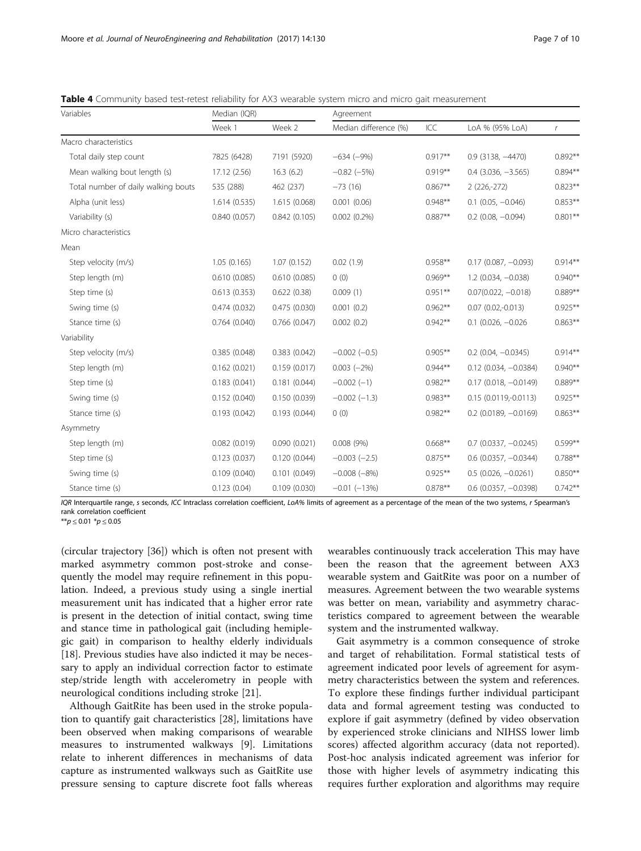| Variables                           | Median (IQR) |               | Agreement             |            |                            |            |
|-------------------------------------|--------------|---------------|-----------------------|------------|----------------------------|------------|
|                                     | Week 1       | Week 2        | Median difference (%) | ICC        | LoA % (95% LoA)            | $\, r$     |
| Macro characteristics               |              |               |                       |            |                            |            |
| Total daily step count              | 7825 (6428)  | 7191 (5920)   | $-634 (-9%)$          | $0.917**$  | $0.9(3138, -4470)$         | $0.892**$  |
| Mean walking bout length (s)        | 17.12 (2.56) | 16.3(6.2)     | $-0.82$ $(-5%)$       | $0.919**$  | $0.4$ (3.036, $-3.565$ )   | $0.894**$  |
| Total number of daily walking bouts | 535 (288)    | 462 (237)     | $-73(16)$             | $0.867**$  | $2(226,-272)$              | $0.823**$  |
| Alpha (unit less)                   | 1.614(0.535) | 1.615 (0.068) | 0.001(0.06)           | $0.948**$  | $0.1$ (0.05, $-0.046$ )    | $0.853**$  |
| Variability (s)                     | 0.840(0.057) | 0.842(0.105)  | $0.002(0.2\%)$        | $0.887**$  | $0.2$ (0.08, $-0.094$ )    | $0.801**$  |
| Micro characteristics               |              |               |                       |            |                            |            |
| Mean                                |              |               |                       |            |                            |            |
| Step velocity (m/s)                 | 1.05(0.165)  | 1.07(0.152)   | 0.02(1.9)             | $0.958**$  | $0.17(0.087, -0.093)$      | $0.914**$  |
| Step length (m)                     | 0.610(0.085) | 0.610(0.085)  | 0(0)                  | $0.969**$  | $1.2$ (0.034, $-0.038$ )   | $0.940**$  |
| Step time (s)                       | 0.613(0.353) | 0.622(0.38)   | 0.009(1)              | $0.951**$  | $0.07(0.022, -0.018)$      | $0.889**$  |
| Swing time (s)                      | 0.474(0.032) | 0.475(0.030)  | 0.001(0.2)            | $0.962**$  | $0.07(0.02,-0.013)$        | $0.925***$ |
| Stance time (s)                     | 0.764(0.040) | 0.766(0.047)  | 0.002(0.2)            | $0.942**$  | $0.1$ (0.026, $-0.026$     | $0.863**$  |
| Variability                         |              |               |                       |            |                            |            |
| Step velocity (m/s)                 | 0.385(0.048) | 0.383(0.042)  | $-0.002(-0.5)$        | $0.905***$ | $0.2$ (0.04, $-0.0345$ )   | $0.914**$  |
| Step length (m)                     | 0.162(0.021) | 0.159(0.017)  | $0.003(-2%)$          | $0.944**$  | $0.12$ (0.034, $-0.0384$ ) | $0.940**$  |
| Step time (s)                       | 0.183(0.041) | 0.181(0.044)  | $-0.002(-1)$          | $0.982**$  | $0.17(0.018, -0.0149)$     | $0.889**$  |
| Swing time (s)                      | 0.152(0.040) | 0.150(0.039)  | $-0.002$ $(-1.3)$     | $0.983**$  | $0.15(0.0119,-0.0113)$     | $0.925***$ |
| Stance time (s)                     | 0.193(0.042) | 0.193(0.044)  | 0(0)                  | $0.982**$  | $0.2$ (0.0189, $-0.0169$ ) | $0.863**$  |
| Asymmetry                           |              |               |                       |            |                            |            |
| Step length (m)                     | 0.082(0.019) | 0.090(0.021)  | 0.008(9%)             | $0.668**$  | $0.7$ (0.0337, $-0.0245$ ) | $0.599**$  |
| Step time (s)                       | 0.123(0.037) | 0.120(0.044)  | $-0.003(-2.5)$        | $0.875***$ | $0.6$ (0.0357, $-0.0344$ ) | $0.788**$  |
| Swing time (s)                      | 0.109(0.040) | 0.101(0.049)  | $-0.008$ $(-8%)$      | $0.925***$ | $0.5$ (0.026, $-0.0261$ )  | $0.850**$  |
| Stance time (s)                     | 0.123(0.04)  | 0.109(0.030)  | $-0.01$ $(-13%)$      | $0.878**$  | $0.6$ (0.0357, $-0.0398$ ) | $0.742**$  |

<span id="page-6-0"></span>Table 4 Community based test-retest reliability for AX3 wearable system micro and micro gait measurement

IQR Interquartile range, s seconds, ICC Intraclass correlation coefficient, LoA% limits of agreement as a percentage of the mean of the two systems, r Spearman's rank correlation coefficient

\*\* $p$  ≤ 0.01 \* $p$  ≤ 0.05

(circular trajectory [[36\]](#page-9-0)) which is often not present with marked asymmetry common post-stroke and consequently the model may require refinement in this population. Indeed, a previous study using a single inertial measurement unit has indicated that a higher error rate is present in the detection of initial contact, swing time and stance time in pathological gait (including hemiplegic gait) in comparison to healthy elderly individuals [[18\]](#page-8-0). Previous studies have also indicted it may be necessary to apply an individual correction factor to estimate step/stride length with accelerometry in people with neurological conditions including stroke [[21\]](#page-8-0).

Although GaitRite has been used in the stroke population to quantify gait characteristics [[28\]](#page-8-0), limitations have been observed when making comparisons of wearable measures to instrumented walkways [[9\]](#page-8-0). Limitations relate to inherent differences in mechanisms of data capture as instrumented walkways such as GaitRite use pressure sensing to capture discrete foot falls whereas wearables continuously track acceleration This may have been the reason that the agreement between AX3 wearable system and GaitRite was poor on a number of measures. Agreement between the two wearable systems was better on mean, variability and asymmetry characteristics compared to agreement between the wearable system and the instrumented walkway.

Gait asymmetry is a common consequence of stroke and target of rehabilitation. Formal statistical tests of agreement indicated poor levels of agreement for asymmetry characteristics between the system and references. To explore these findings further individual participant data and formal agreement testing was conducted to explore if gait asymmetry (defined by video observation by experienced stroke clinicians and NIHSS lower limb scores) affected algorithm accuracy (data not reported). Post-hoc analysis indicated agreement was inferior for those with higher levels of asymmetry indicating this requires further exploration and algorithms may require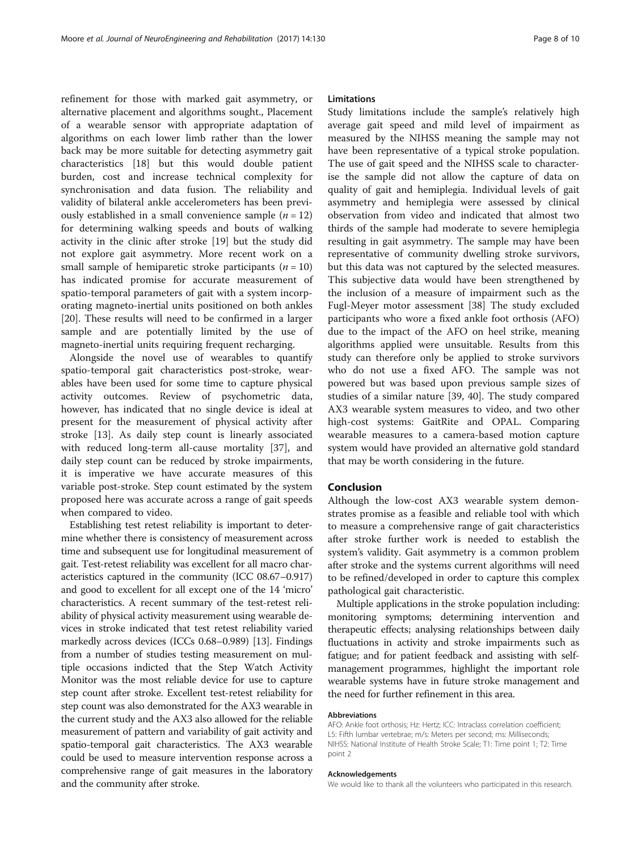refinement for those with marked gait asymmetry, or alternative placement and algorithms sought., Placement of a wearable sensor with appropriate adaptation of algorithms on each lower limb rather than the lower back may be more suitable for detecting asymmetry gait characteristics [\[18](#page-8-0)] but this would double patient burden, cost and increase technical complexity for synchronisation and data fusion. The reliability and validity of bilateral ankle accelerometers has been previously established in a small convenience sample  $(n = 12)$ for determining walking speeds and bouts of walking activity in the clinic after stroke [[19\]](#page-8-0) but the study did not explore gait asymmetry. More recent work on a small sample of hemiparetic stroke participants  $(n = 10)$ has indicated promise for accurate measurement of spatio-temporal parameters of gait with a system incorporating magneto-inertial units positioned on both ankles [[20\]](#page-8-0). These results will need to be confirmed in a larger sample and are potentially limited by the use of magneto-inertial units requiring frequent recharging.

Alongside the novel use of wearables to quantify spatio-temporal gait characteristics post-stroke, wearables have been used for some time to capture physical activity outcomes. Review of psychometric data, however, has indicated that no single device is ideal at present for the measurement of physical activity after stroke [\[13](#page-8-0)]. As daily step count is linearly associated with reduced long-term all-cause mortality [\[37](#page-9-0)], and daily step count can be reduced by stroke impairments, it is imperative we have accurate measures of this variable post-stroke. Step count estimated by the system proposed here was accurate across a range of gait speeds when compared to video.

Establishing test retest reliability is important to determine whether there is consistency of measurement across time and subsequent use for longitudinal measurement of gait. Test-retest reliability was excellent for all macro characteristics captured in the community (ICC 08.67–0.917) and good to excellent for all except one of the 14 'micro' characteristics. A recent summary of the test-retest reliability of physical activity measurement using wearable devices in stroke indicated that test retest reliability varied markedly across devices (ICCs 0.68–0.989) [\[13\]](#page-8-0). Findings from a number of studies testing measurement on multiple occasions indicted that the Step Watch Activity Monitor was the most reliable device for use to capture step count after stroke. Excellent test-retest reliability for step count was also demonstrated for the AX3 wearable in the current study and the AX3 also allowed for the reliable measurement of pattern and variability of gait activity and spatio-temporal gait characteristics. The AX3 wearable could be used to measure intervention response across a comprehensive range of gait measures in the laboratory and the community after stroke.

### Limitations

Study limitations include the sample's relatively high average gait speed and mild level of impairment as measured by the NIHSS meaning the sample may not have been representative of a typical stroke population. The use of gait speed and the NIHSS scale to characterise the sample did not allow the capture of data on quality of gait and hemiplegia. Individual levels of gait asymmetry and hemiplegia were assessed by clinical observation from video and indicated that almost two thirds of the sample had moderate to severe hemiplegia resulting in gait asymmetry. The sample may have been representative of community dwelling stroke survivors, but this data was not captured by the selected measures. This subjective data would have been strengthened by the inclusion of a measure of impairment such as the Fugl-Meyer motor assessment [\[38](#page-9-0)] The study excluded participants who wore a fixed ankle foot orthosis (AFO) due to the impact of the AFO on heel strike, meaning algorithms applied were unsuitable. Results from this study can therefore only be applied to stroke survivors who do not use a fixed AFO. The sample was not powered but was based upon previous sample sizes of studies of a similar nature [\[39](#page-9-0), [40\]](#page-9-0). The study compared AX3 wearable system measures to video, and two other high-cost systems: GaitRite and OPAL. Comparing wearable measures to a camera-based motion capture system would have provided an alternative gold standard that may be worth considering in the future.

## Conclusion

Although the low-cost AX3 wearable system demonstrates promise as a feasible and reliable tool with which to measure a comprehensive range of gait characteristics after stroke further work is needed to establish the system's validity. Gait asymmetry is a common problem after stroke and the systems current algorithms will need to be refined/developed in order to capture this complex pathological gait characteristic.

Multiple applications in the stroke population including: monitoring symptoms; determining intervention and therapeutic effects; analysing relationships between daily fluctuations in activity and stroke impairments such as fatigue; and for patient feedback and assisting with selfmanagement programmes, highlight the important role wearable systems have in future stroke management and the need for further refinement in this area.

#### Abbreviations

AFO: Ankle foot orthosis; Hz: Hertz; ICC: Intraclass correlation coefficient; L5: Fifth lumbar vertebrae; m/s: Meters per second; ms: Milliseconds; NIHSS: National Institute of Health Stroke Scale; T1: Time point 1; T2: Time point 2

#### Acknowledgements

We would like to thank all the volunteers who participated in this research.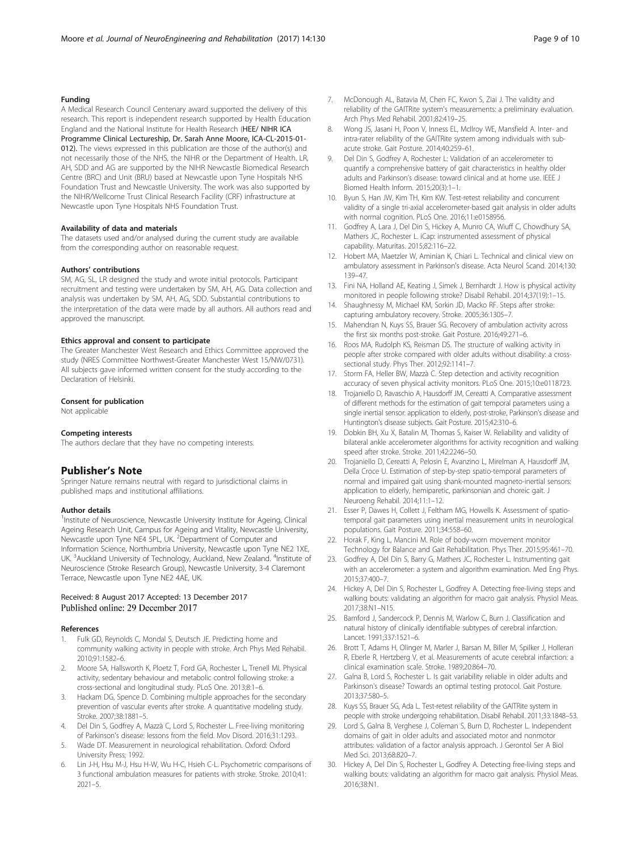#### <span id="page-8-0"></span>Funding

A Medical Research Council Centenary award supported the delivery of this research. This report is independent research supported by Health Education England and the National Institute for Health Research (HEE/ NIHR ICA Programme Clinical Lectureship, Dr. Sarah Anne Moore, ICA-CL-2015-01- 012). The views expressed in this publication are those of the author(s) and not necessarily those of the NHS, the NIHR or the Department of Health. LR, AH, SDD and AG are supported by the NIHR Newcastle Biomedical Research Centre (BRC) and Unit (BRU) based at Newcastle upon Tyne Hospitals NHS Foundation Trust and Newcastle University. The work was also supported by the NIHR/Wellcome Trust Clinical Research Facility (CRF) infrastructure at Newcastle upon Tyne Hospitals NHS Foundation Trust.

#### Availability of data and materials

The datasets used and/or analysed during the current study are available from the corresponding author on reasonable request.

#### Authors' contributions

SM, AG, SL, LR designed the study and wrote initial protocols. Participant recruitment and testing were undertaken by SM, AH, AG. Data collection and analysis was undertaken by SM, AH, AG, SDD. Substantial contributions to the interpretation of the data were made by all authors. All authors read and approved the manuscript.

#### Ethics approval and consent to participate

The Greater Manchester West Research and Ethics Committee approved the study (NRES Committee Northwest-Greater Manchester West 15/NW/0731). All subjects gave informed written consent for the study according to the Declaration of Helsinki.

#### Consent for publication

Not applicable

#### Competing interests

The authors declare that they have no competing interests.

## Publisher's Note

Springer Nature remains neutral with regard to jurisdictional claims in published maps and institutional affiliations.

#### Author details

<sup>1</sup>Institute of Neuroscience, Newcastle University Institute for Ageing, Clinical Ageing Research Unit, Campus for Ageing and Vitality, Newcastle University, Newcastle upon Tyne NE4 5PL, UK. <sup>2</sup>Department of Computer and Information Science, Northumbria University, Newcastle upon Tyne NE2 1XE, UK. <sup>3</sup> Auckland University of Technology, Auckland, New Zealand. <sup>4</sup>Institute of Neuroscience (Stroke Research Group), Newcastle University, 3-4 Claremont Terrace, Newcastle upon Tyne NE2 4AE, UK.

#### Received: 8 August 2017 Accepted: 13 December 2017 Published online: 29 December 2017

#### References

- 1. Fulk GD, Reynolds C, Mondal S, Deutsch JE. Predicting home and community walking activity in people with stroke. Arch Phys Med Rehabil. 2010;91:1582–6.
- 2. Moore SA, Hallsworth K, Ploetz T, Ford GA, Rochester L, Trenell MI. Physical activity, sedentary behaviour and metabolic control following stroke: a cross-sectional and longitudinal study. PLoS One. 2013;8:1–6.
- 3. Hackam DG, Spence D. Combining multiple approaches for the secondary prevention of vascular events after stroke. A quantitative modeling study. Stroke. 2007;38:1881–5.
- 4. Del Din S, Godfrey A, Mazzà C, Lord S, Rochester L. Free-living monitoring of Parkinson's disease: lessons from the field. Mov Disord. 2016;31:1293.
- 5. Wade DT. Measurement in neurological rehabilitation. Oxford: Oxford University Press; 1992.
- Lin J-H, Hsu M-J, Hsu H-W, Wu H-C, Hsieh C-L. Psychometric comparisons of 3 functional ambulation measures for patients with stroke. Stroke. 2010;41: 2021–5.
- 7. McDonough AL, Batavia M, Chen FC, Kwon S, Ziai J. The validity and reliability of the GAITRite system's measurements: a preliminary evaluation. Arch Phys Med Rehabil. 2001;82:419–25.
- 8. Wong JS, Jasani H, Poon V, Inness EL, McIlroy WE, Mansfield A. Inter- and intra-rater reliability of the GAITRite system among individuals with subacute stroke. Gait Posture. 2014;40:259–61.
- Del Din S, Godfrey A, Rochester L: Validation of an accelerometer to quantify a comprehensive battery of gait characteristics in healthy older adults and Parkinson's disease: toward clinical and at home use. IEEE J Biomed Health Inform. 2015;20(3):1–1.
- 10. Byun S, Han JW, Kim TH, Kim KW. Test-retest reliability and concurrent validity of a single tri-axial accelerometer-based gait analysis in older adults with normal cognition. PLoS One. 2016;11:e0158956.
- 11. Godfrey A, Lara J, Del Din S, Hickey A, Munro CA, Wiuff C, Chowdhury SA, Mathers JC, Rochester L. iCap: instrumented assessment of physical capability. Maturitas. 2015;82:116–22.
- 12. Hobert MA, Maetzler W, Aminian K, Chiari L. Technical and clinical view on ambulatory assessment in Parkinson's disease. Acta Neurol Scand. 2014;130: 139–47.
- 13. Fini NA, Holland AE, Keating J, Simek J, Bernhardt J. How is physical activity monitored in people following stroke? Disabil Rehabil. 2014;37(19):1–15.
- 14. Shaughnessy M, Michael KM, Sorkin JD, Macko RF. Steps after stroke: capturing ambulatory recovery. Stroke. 2005;36:1305–7.
- 15. Mahendran N, Kuys SS, Brauer SG. Recovery of ambulation activity across the first six months post-stroke. Gait Posture. 2016;49:271–6.
- 16. Roos MA, Rudolph KS, Reisman DS. The structure of walking activity in people after stroke compared with older adults without disability: a crosssectional study. Phys Ther. 2012;92:1141–7.
- 17. Storm FA, Heller BW, Mazzà C. Step detection and activity recognition accuracy of seven physical activity monitors. PLoS One. 2015;10:e0118723.
- 18. Trojaniello D, Ravaschio A, Hausdorff JM, Cereatti A. Comparative assessment of different methods for the estimation of gait temporal parameters using a single inertial sensor: application to elderly, post-stroke, Parkinson's disease and Huntington's disease subjects. Gait Posture. 2015;42:310–6.
- 19. Dobkin BH, Xu X, Batalin M, Thomas S, Kaiser W. Reliability and validity of bilateral ankle accelerometer algorithms for activity recognition and walking speed after stroke. Stroke. 2011;42:2246–50.
- 20. Trojaniello D, Cereatti A, Pelosin E, Avanzino L, Mirelman A, Hausdorff JM, Della Croce U. Estimation of step-by-step spatio-temporal parameters of normal and impaired gait using shank-mounted magneto-inertial sensors: application to elderly, hemiparetic, parkinsonian and choreic gait. J Neuroeng Rehabil. 2014;11:1–12.
- 21. Esser P, Dawes H, Collett J, Feltham MG, Howells K. Assessment of spatiotemporal gait parameters using inertial measurement units in neurological populations. Gait Posture. 2011;34:558–60.
- 22. Horak F, King L, Mancini M. Role of body-worn movement monitor Technology for Balance and Gait Rehabilitation. Phys Ther. 2015;95:461–70.
- 23. Godfrey A, Del Din S, Barry G, Mathers JC, Rochester L. Instrumenting gait with an accelerometer: a system and algorithm examination. Med Eng Phys. 2015;37:400–7.
- 24. Hickey A, Del Din S, Rochester L, Godfrey A. Detecting free-living steps and walking bouts: validating an algorithm for macro gait analysis. Physiol Meas. 2017;38:N1–N15.
- 25. Bamford J, Sandercock P, Dennis M, Warlow C, Burn J. Classification and natural history of clinically identifiable subtypes of cerebral infarction. Lancet. 1991;337:1521–6.
- 26. Brott T, Adams H, Olinger M, Marler J, Barsan M, Biller M, Spilker J, Holleran R, Eberle R, Hertzberg V, et al. Measurements of acute cerebral infarction: a clinical examination scale. Stroke. 1989;20:864–70.
- 27. Galna B, Lord S, Rochester L. Is gait variability reliable in older adults and Parkinson's disease? Towards an optimal testing protocol. Gait Posture. 2013;37:580–5.
- 28. Kuys SS, Brauer SG, Ada L. Test-retest reliability of the GAITRite system in people with stroke undergoing rehabilitation. Disabil Rehabil. 2011;33:1848–53.
- 29. Lord S, Galna B, Verghese J, Coleman S, Burn D, Rochester L. Independent domains of gait in older adults and associated motor and nonmotor attributes: validation of a factor analysis approach. J Gerontol Ser A Biol Med Sci. 2013;68:820–7.
- 30. Hickey A, Del Din S, Rochester L, Godfrey A. Detecting free-living steps and walking bouts: validating an algorithm for macro gait analysis. Physiol Meas. 2016;38:N1.